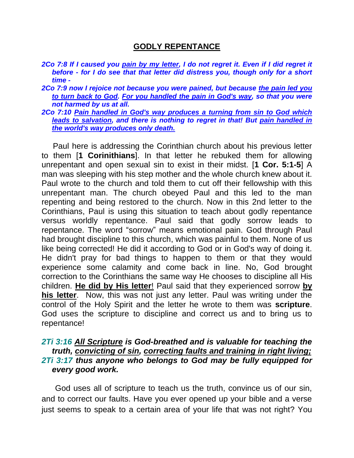## **GODLY REPENTANCE**

- *2Co 7:8 If I caused you pain by my letter, I do not regret it. Even if I did regret it before - for I do see that that letter did distress you, though only for a short time -*
- *2Co 7:9 now I rejoice not because you were pained, but because the pain led you to turn back to God. For you handled the pain in God's way, so that you were not harmed by us at all.*
- *2Co 7:10 Pain handled in God's way produces a turning from sin to God which leads to salvation, and there is nothing to regret in that! But pain handled in the world's way produces only death.*

 Paul here is addressing the Corinthian church about his previous letter to them [**1 Corinithians**]. In that letter he rebuked them for allowing unrepentant and open sexual sin to exist in their midst. [**1 Cor. 5:1-5**] A man was sleeping with his step mother and the whole church knew about it. Paul wrote to the church and told them to cut off their fellowship with this unrepentant man. The church obeyed Paul and this led to the man repenting and being restored to the church. Now in this 2nd letter to the Corinthians, Paul is using this situation to teach about godly repentance versus worldly repentance. Paul said that godly sorrow leads to repentance. The word "sorrow" means emotional pain. God through Paul had brought discipline to this church, which was painful to them. None of us like being corrected! He did it according to God or in God's way of doing it. He didn't pray for bad things to happen to them or that they would experience some calamity and come back in line. No, God brought correction to the Corinthians the same way He chooses to discipline all His children. **He did by His letter**! Paul said that they experienced sorrow **by his letter**. Now, this was not just any letter. Paul was writing under the control of the Holy Spirit and the letter he wrote to them was **scripture**. God uses the scripture to discipline and correct us and to bring us to repentance!

## *2Ti 3:16 All Scripture is God-breathed and is valuable for teaching the truth, convicting of sin, correcting faults and training in right living; 2Ti 3:17 thus anyone who belongs to God may be fully equipped for every good work.*

 God uses all of scripture to teach us the truth, convince us of our sin, and to correct our faults. Have you ever opened up your bible and a verse just seems to speak to a certain area of your life that was not right? You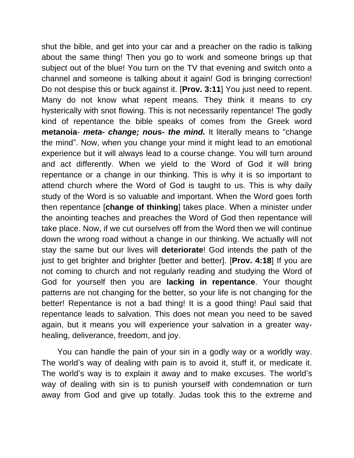shut the bible, and get into your car and a preacher on the radio is talking about the same thing! Then you go to work and someone brings up that subject out of the blue! You turn on the TV that evening and switch onto a channel and someone is talking about it again! God is bringing correction! Do not despise this or buck against it. [**Prov. 3:11**] You just need to repent. Many do not know what repent means. They think it means to cry hysterically with snot flowing. This is not necessarily repentance! The godly kind of repentance the bible speaks of comes from the Greek word **metanoia**- *meta- change; nous- the mind.* It literally means to "change the mind". Now, when you change your mind it might lead to an emotional experience but it will always lead to a course change. You will turn around and act differently. When we yield to the Word of God it will bring repentance or a change in our thinking. This is why it is so important to attend church where the Word of God is taught to us. This is why daily study of the Word is so valuable and important. When the Word goes forth then repentance [**change of thinking**] takes place. When a minister under the anointing teaches and preaches the Word of God then repentance will take place. Now, if we cut ourselves off from the Word then we will continue down the wrong road without a change in our thinking. We actually will not stay the same but our lives will **deteriorate**! God intends the path of the just to get brighter and brighter [better and better]. [**Prov. 4:18**] If you are not coming to church and not regularly reading and studying the Word of God for yourself then you are **lacking in repentance**. Your thought patterns are not changing for the better, so your life is not changing for the better! Repentance is not a bad thing! It is a good thing! Paul said that repentance leads to salvation. This does not mean you need to be saved again, but it means you will experience your salvation in a greater wayhealing, deliverance, freedom, and joy.

 You can handle the pain of your sin in a godly way or a worldly way. The world's way of dealing with pain is to avoid it, stuff it, or medicate it. The world's way is to explain it away and to make excuses. The world's way of dealing with sin is to punish yourself with condemnation or turn away from God and give up totally. Judas took this to the extreme and